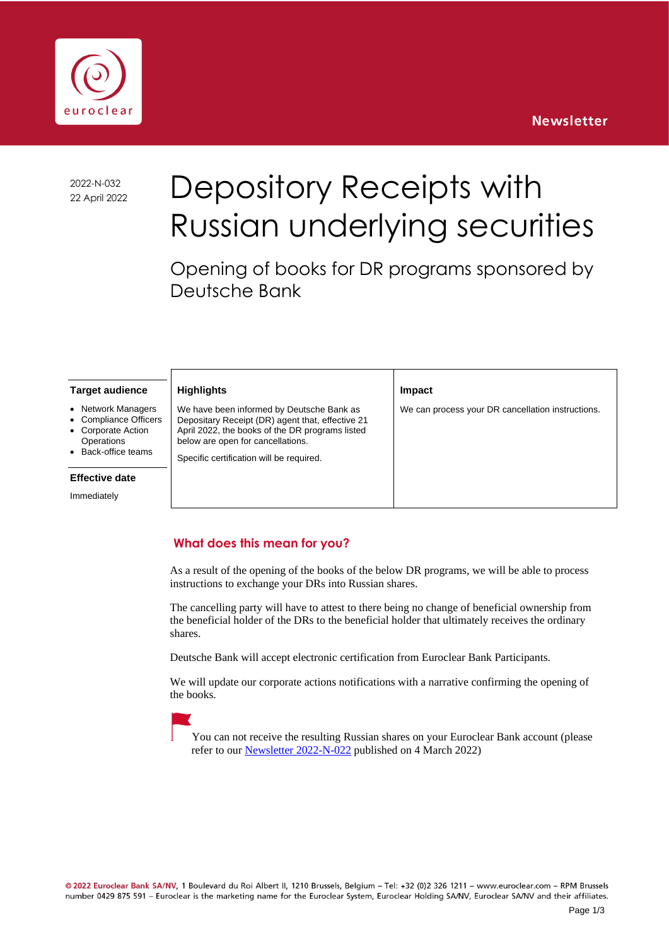



2022-N-032

# 2022-N-032 Depository Receipts with Russian underlying securities

Opening of books for DR programs sponsored by Deutsche Bank

**Impact**

We can process your DR cancellation instructions.

#### **Target audience**

- **Network Managers**
- Compliance Officers
- Corporate Action
- **Operations** • Back-office teams

### **Effective date**

Immediately

### **Highlights**  We have been informed by Deutsche Bank as Depositary Receipt (DR) agent that, effective 21 April 2022, the books of the DR programs listed below are open for cancellations.

Specific certification will be required.

## **What does this mean for you?**

As a result of the opening of the books of the below DR programs, we will be able to process instructions to exchange your DRs into Russian shares.

The cancelling party will have to attest to there being no change of beneficial ownership from the beneficial holder of the DRs to the beneficial holder that ultimately receives the ordinary shares.

Deutsche Bank will accept electronic certification from Euroclear Bank Participants.

We will update our corporate actions notifications with a narrative confirming the opening of the books.



You can not receive the resulting Russian shares on your Euroclear Bank account (please refer to our **Newsletter 2022-N-022** published on 4 March 2022)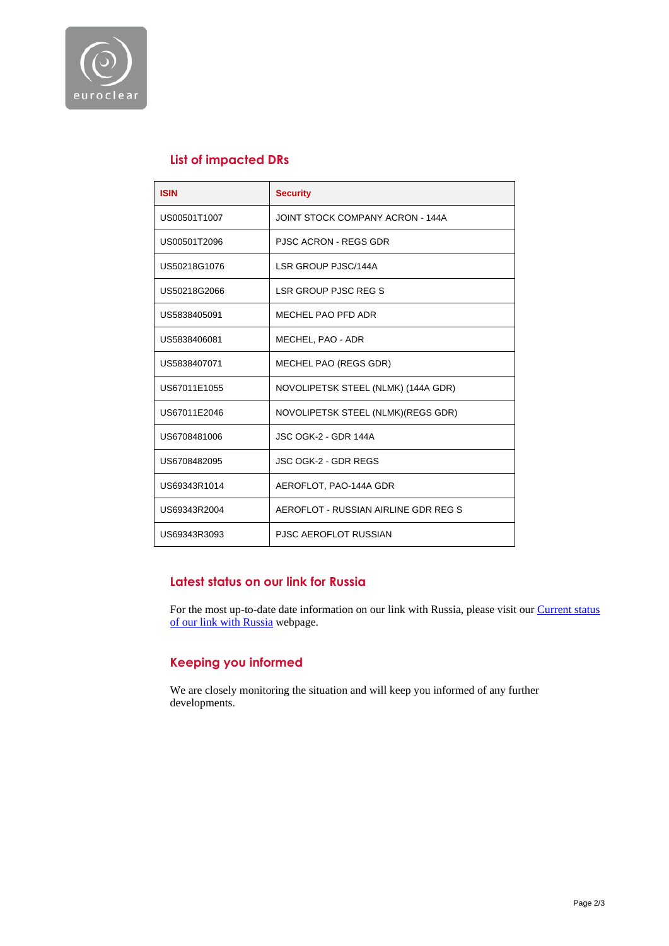

# **List of impacted DRs**

| <b>ISIN</b>  | <b>Security</b>                      |  |
|--------------|--------------------------------------|--|
| US00501T1007 | JOINT STOCK COMPANY ACRON - 144A     |  |
| US00501T2096 | <b>PJSC ACRON - REGS GDR</b>         |  |
| US50218G1076 | LSR GROUP PJSC/144A                  |  |
| US50218G2066 | <b>LSR GROUP PJSC REG S</b>          |  |
| US5838405091 | MECHEL PAO PFD ADR                   |  |
| US5838406081 | MECHEL, PAO - ADR                    |  |
| US5838407071 | MECHEL PAO (REGS GDR)                |  |
| US67011E1055 | NOVOLIPETSK STEEL (NLMK) (144A GDR)  |  |
| US67011E2046 | NOVOLIPETSK STEEL (NLMK)(REGS GDR)   |  |
| US6708481006 | <b>JSC OGK-2 - GDR 144A</b>          |  |
| US6708482095 | <b>JSC OGK-2 - GDR REGS</b>          |  |
| US69343R1014 | AEROFLOT, PAO-144A GDR               |  |
| US69343R2004 | AEROFLOT - RUSSIAN AIRLINE GDR REG S |  |
| US69343R3093 | <b>PJSC AEROFLOT RUSSIAN</b>         |  |

## **Latest status on our link for Russia**

For the most up-to-date date information on our link with Russia, please visit our Current status [of our link with Russia](https://www.euroclear.com/newsandinsights/en/Format/Articles/russia-our-current-status.html) webpage.

## **Keeping you informed**

We are closely monitoring the situation and will keep you informed of any further developments.